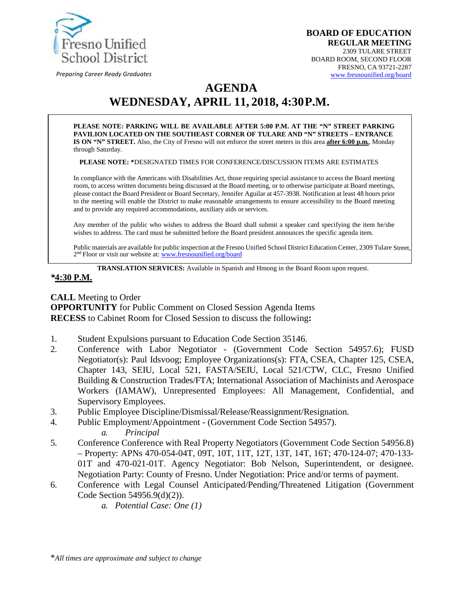

*Preparing Career Ready Graduates*

# **AGENDA WEDNESDAY, APRIL 11, 2018, 4:30P.M.**

**PLEASE NOTE: PARKING WILL BE AVAILABLE AFTER 5:00 P.M. AT THE "N" STREET PARKING PAVILION LOCATED ON THE SOUTHEAST CORNER OF TULARE AND "N" STREETS – ENTRANCE IS ON "N" STREET.** Also, the City of Fresno will not enforce the street meters in this area **after 6:00 p.m.**, Monday through Saturday.

**PLEASE NOTE: \***DESIGNATED TIMES FOR CONFERENCE/DISCUSSION ITEMS ARE ESTIMATES

In compliance with the Americans with Disabilities Act, those requiring special assistance to access the Board meeting room, to access written documents being discussed at the Board meeting, or to otherwise participate at Board meetings, please contact the Board President or Board Secretary, Jennifer Aguilar at 457-3938. Notification at least 48 hours prior to the meeting will enable the District to make reasonable arrangements to ensure accessibility to the Board meeting and to provide any required accommodations, auxiliary aids orservices.

Any member of the public who wishes to address the Board shall submit a speaker card specifying the item he/she wishes to address. The card must be submitted before the Board president announces the specific agenda item.

Public materials are available for public inspection at the Fresno Unified School District Education Center, 2309 Tulare Street, 2<sup>nd</sup> Floor or visit our website at: **[www.fresnounified.org/board](http://www.fresnounified.org/board)** 

**TRANSLATION SERVICES:** Available in Spanish and Hmong in the Board Room upon request.

#### *\****4:30 P.M.**

**CALL** Meeting to Order **OPPORTUNITY** for Public Comment on Closed Session Agenda Items **RECESS** to Cabinet Room for Closed Session to discuss the following**:**

- 1. Student Expulsions pursuant to Education Code Section 35146.
- 2. Conference with Labor Negotiator (Government Code Section 54957.6); FUSD Negotiator(s): Paul Idsvoog; Employee Organizations(s): FTA, CSEA, Chapter 125, CSEA, Chapter 143, SEIU, Local 521, FASTA/SEIU, Local 521/CTW, CLC, Fresno Unified Building & Construction Trades/FTA; International Association of Machinists and Aerospace Workers (IAMAW), Unrepresented Employees: All Management, Confidential, and Supervisory Employees.
- 3. Public Employee Discipline/Dismissal/Release/Reassignment/Resignation.
- 4. Public Employment/Appointment (Government Code Section 54957).
	- *a. Principal*
- 5. Conference Conference with Real Property Negotiators (Government Code Section 54956.8) – Property: APNs 470-054-04T, 09T, 10T, 11T, 12T, 13T, 14T, 16T; 470-124-07; 470-133- 01T and 470-021-01T. Agency Negotiator: Bob Nelson, Superintendent, or designee. Negotiation Party: County of Fresno. Under Negotiation: Price and/or terms of payment.
- 6. Conference with Legal Counsel Anticipated/Pending/Threatened Litigation (Government Code Section 54956.9(d)(2)).
	- *a. Potential Case: One (1)*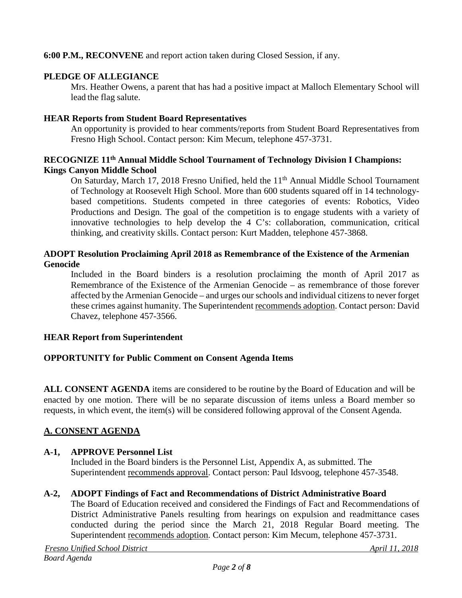## **6:00 P.M., RECONVENE** and report action taken during Closed Session, if any.

#### **PLEDGE OF ALLEGIANCE**

Mrs. Heather Owens, a parent that has had a positive impact at Malloch Elementary School will lead the flag salute.

#### **HEAR Reports from Student Board Representatives**

An opportunity is provided to hear comments/reports from Student Board Representatives from Fresno High School. Contact person: Kim Mecum, telephone 457-3731.

#### **RECOGNIZE 11th Annual Middle School Tournament of Technology Division I Champions: Kings Canyon Middle School**

On Saturday, March 17, 2018 Fresno Unified, held the 11<sup>th</sup> Annual Middle School Tournament of Technology at Roosevelt High School. More than 600 students squared off in 14 technologybased competitions. Students competed in three categories of events: Robotics, Video Productions and Design. The goal of the competition is to engage students with a variety of innovative technologies to help develop the 4 C's: collaboration, communication, critical thinking, and creativity skills. Contact person: Kurt Madden, telephone 457-3868.

## **ADOPT Resolution Proclaiming April 2018 as Remembrance of the Existence of the Armenian Genocide**

Included in the Board binders is a resolution proclaiming the month of April 2017 as Remembrance of the Existence of the Armenian Genocide – as remembrance of those forever affected by the Armenian Genocide – and urges our schools and individual citizens to never forget these crimes against humanity. The Superintendent recommends adoption. Contact person: David Chavez, telephone 457-3566.

#### **HEAR Report from Superintendent**

#### **OPPORTUNITY for Public Comment on Consent Agenda Items**

**ALL CONSENT AGENDA** items are considered to be routine by the Board of Education and will be enacted by one motion. There will be no separate discussion of items unless a Board member so requests, in which event, the item(s) will be considered following approval of the Consent Agenda.

## **A. CONSENT AGENDA**

#### **A-1, APPROVE Personnel List**

Included in the Board binders is the Personnel List, Appendix A, as submitted. The Superintendent recommends approval. Contact person: Paul Idsvoog, telephone 457-3548.

#### **A-2, ADOPT Findings of Fact and Recommendations of District Administrative Board**

The Board of Education received and considered the Findings of Fact and Recommendations of District Administrative Panels resulting from hearings on expulsion and readmittance cases conducted during the period since the March 21, 2018 Regular Board meeting. The Superintendent recommends adoption. Contact person: Kim Mecum, telephone 457-3731.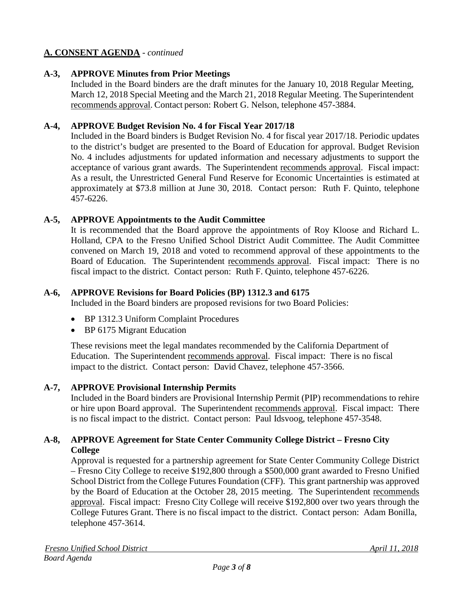# **A. CONSENT AGENDA** - *continued*

## **A-3, APPROVE Minutes from Prior Meetings**

Included in the Board binders are the draft minutes for the January 10, 2018 Regular Meeting, March 12, 2018 Special Meeting and the March 21, 2018 Regular Meeting. The Superintendent recommends approval. Contact person: Robert G. Nelson, telephone 457-3884.

#### **A-4, APPROVE Budget Revision No. 4 for Fiscal Year 2017/18**

Included in the Board binders is Budget Revision No. 4 for fiscal year 2017/18. Periodic updates to the district's budget are presented to the Board of Education for approval. Budget Revision No. 4 includes adjustments for updated information and necessary adjustments to support the acceptance of various grant awards. The Superintendent recommends approval. Fiscal impact: As a result, the Unrestricted General Fund Reserve for Economic Uncertainties is estimated at approximately at \$73.8 million at June 30, 2018. Contact person: Ruth F. Quinto, telephone 457-6226.

## **A-5, APPROVE Appointments to the Audit Committee**

It is recommended that the Board approve the appointments of Roy Kloose and Richard L. Holland, CPA to the Fresno Unified School District Audit Committee. The Audit Committee convened on March 19, 2018 and voted to recommend approval of these appointments to the Board of Education. The Superintendent recommends approval. Fiscal impact: There is no fiscal impact to the district. Contact person: Ruth F. Quinto, telephone 457-6226.

#### **A-6, APPROVE Revisions for Board Policies (BP) 1312.3 and 6175**

Included in the Board binders are proposed revisions for two Board Policies:

- BP 1312.3 Uniform Complaint Procedures
- BP 6175 Migrant Education

These revisions meet the legal mandates recommended by the California Department of Education. The Superintendent recommends approval. Fiscal impact: There is no fiscal impact to the district. Contact person: David Chavez, telephone 457-3566.

#### **A-7, APPROVE Provisional Internship Permits**

Included in the Board binders are Provisional Internship Permit (PIP) recommendations to rehire or hire upon Board approval. The Superintendent recommends approval. Fiscal impact: There is no fiscal impact to the district. Contact person: Paul Idsvoog, telephone 457-3548.

## **A-8, APPROVE Agreement for State Center Community College District – Fresno City College**

Approval is requested for a partnership agreement for State Center Community College District – Fresno City College to receive \$192,800 through a \$500,000 grant awarded to Fresno Unified School District from the College Futures Foundation (CFF). This grant partnership was approved by the Board of Education at the October 28, 2015 meeting. The Superintendent recommends approval. Fiscal impact: Fresno City College will receive \$192,800 over two years through the College Futures Grant. There is no fiscal impact to the district. Contact person: Adam Bonilla, telephone 457-3614.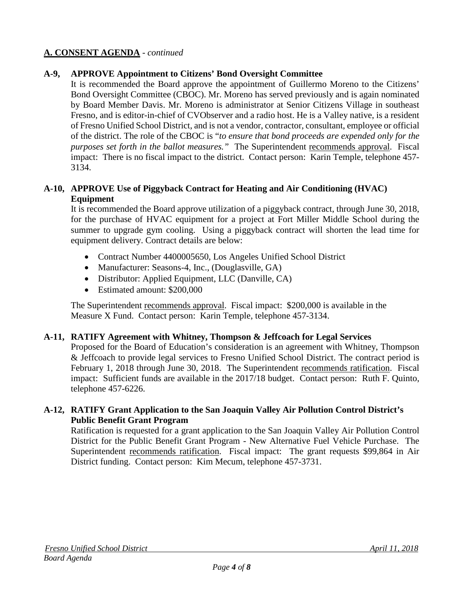# **A. CONSENT AGENDA** - *continued*

## **A-9, APPROVE Appointment to Citizens' Bond Oversight Committee**

It is recommended the Board approve the appointment of Guillermo Moreno to the Citizens' Bond Oversight Committee (CBOC). Mr. Moreno has served previously and is again nominated by Board Member Davis. Mr. Moreno is administrator at Senior Citizens Village in southeast Fresno, and is editor-in-chief of CVObserver and a radio host. He is a Valley native, is a resident of Fresno Unified School District, and is not a vendor, contractor, consultant, employee or official of the district. The role of the CBOC is "*to ensure that bond proceeds are expended only for the purposes set forth in the ballot measures.*" The Superintendent recommends approval. Fiscal impact: There is no fiscal impact to the district. Contact person: Karin Temple, telephone 457- 3134.

## **A-10, APPROVE Use of Piggyback Contract for Heating and Air Conditioning (HVAC) Equipment**

It is recommended the Board approve utilization of a piggyback contract, through June 30, 2018, for the purchase of HVAC equipment for a project at Fort Miller Middle School during the summer to upgrade gym cooling. Using a piggyback contract will shorten the lead time for equipment delivery. Contract details are below:

- Contract Number 4400005650, Los Angeles Unified School District
- Manufacturer: Seasons-4, Inc., (Douglasville, GA)
- Distributor: Applied Equipment, LLC (Danville, CA)
- Estimated amount: \$200,000

The Superintendent recommends approval. Fiscal impact: \$200,000 is available in the Measure X Fund. Contact person: Karin Temple, telephone 457-3134.

#### **A-11, RATIFY Agreement with Whitney, Thompson & Jeffcoach for Legal Services**

Proposed for the Board of Education's consideration is an agreement with Whitney, Thompson & Jeffcoach to provide legal services to Fresno Unified School District. The contract period is February 1, 2018 through June 30, 2018. The Superintendent recommends ratification. Fiscal impact: Sufficient funds are available in the 2017/18 budget. Contact person: Ruth F. Quinto, telephone 457-6226.

#### **A-12, RATIFY Grant Application to the San Joaquin Valley Air Pollution Control District's Public Benefit Grant Program**

Ratification is requested for a grant application to the San Joaquin Valley Air Pollution Control District for the Public Benefit Grant Program - New Alternative Fuel Vehicle Purchase. The Superintendent recommends ratification. Fiscal impact: The grant requests \$99,864 in Air District funding. Contact person: Kim Mecum, telephone 457-3731.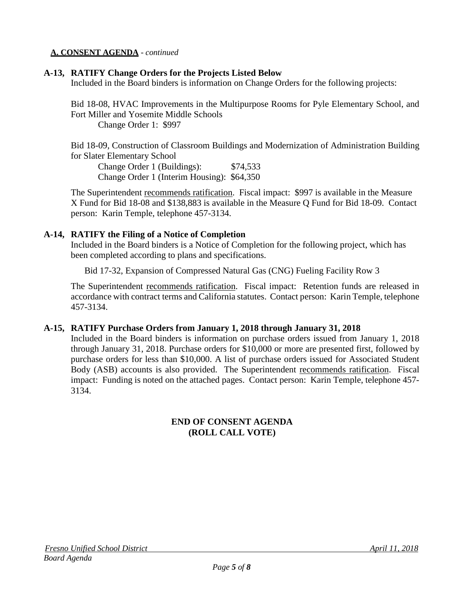#### **A. CONSENT AGENDA** - *continued*

## **A-13, RATIFY Change Orders for the Projects Listed Below**

Included in the Board binders is information on Change Orders for the following projects:

Bid 18-08, HVAC Improvements in the Multipurpose Rooms for Pyle Elementary School, and Fort Miller and Yosemite Middle Schools Change Order 1: \$997

Bid 18-09, Construction of Classroom Buildings and Modernization of Administration Building for Slater Elementary School

Change Order 1 (Buildings): \$74,533 Change Order 1 (Interim Housing): \$64,350

The Superintendent recommends ratification. Fiscal impact: \$997 is available in the Measure X Fund for Bid 18-08 and \$138,883 is available in the Measure Q Fund for Bid 18-09. Contact person: Karin Temple, telephone 457-3134.

## **A-14, RATIFY the Filing of a Notice of Completion**

Included in the Board binders is a Notice of Completion for the following project, which has been completed according to plans and specifications.

Bid 17-32, Expansion of Compressed Natural Gas (CNG) Fueling Facility Row 3

The Superintendent recommends ratification. Fiscal impact: Retention funds are released in accordance with contract terms and California statutes. Contact person: Karin Temple, telephone 457-3134.

## **A-15, RATIFY Purchase Orders from January 1, 2018 through January 31, 2018**

Included in the Board binders is information on purchase orders issued from January 1, 2018 through January 31, 2018. Purchase orders for \$10,000 or more are presented first, followed by purchase orders for less than \$10,000. A list of purchase orders issued for Associated Student Body (ASB) accounts is also provided. The Superintendent recommends ratification. Fiscal impact: Funding is noted on the attached pages. Contact person: Karin Temple, telephone 457- 3134.

## **END OF CONSENT AGENDA (ROLL CALL VOTE)**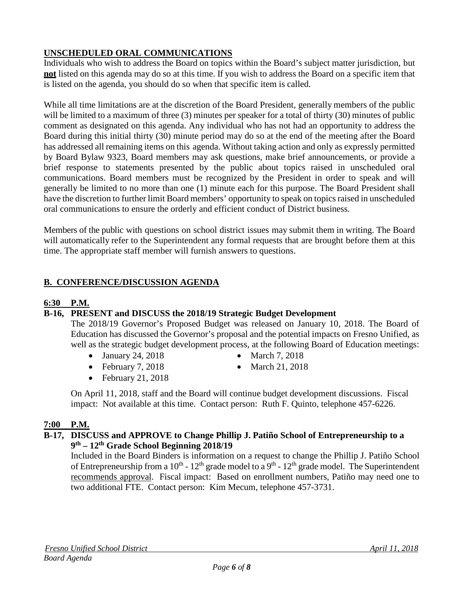# **UNSCHEDULED ORAL COMMUNICATIONS**

Individuals who wish to address the Board on topics within the Board's subject matter jurisdiction, but **not** listed on this agenda may do so at this time. If you wish to address the Board on a specific item that is listed on the agenda, you should do so when that specific item is called.

While all time limitations are at the discretion of the Board President, generally members of the public will be limited to a maximum of three (3) minutes per speaker for a total of thirty (30) minutes of public comment as designated on this agenda. Any individual who has not had an opportunity to address the Board during this initial thirty (30) minute period may do so at the end of the meeting after the Board has addressed all remaining items on this agenda. Without taking action and only as expressly permitted by Board Bylaw 9323, Board members may ask questions, make brief announcements, or provide a brief response to statements presented by the public about topics raised in unscheduled oral communications. Board members must be recognized by the President in order to speak and will generally be limited to no more than one (1) minute each for this purpose. The Board President shall have the discretion to further limit Board members' opportunity to speak on topics raised in unscheduled oral communications to ensure the orderly and efficient conduct of District business.

Members of the public with questions on school district issues may submit them in writing. The Board will automatically refer to the Superintendent any formal requests that are brought before them at this time. The appropriate staff member will furnish answers to questions.

# **B. CONFERENCE/DISCUSSION AGENDA**

## **6:30 P.M.**

## **B-16, PRESENT and DISCUSS the 2018/19 Strategic Budget Development**

The 2018/19 Governor's Proposed Budget was released on January 10, 2018. The Board of Education has discussed the Governor's proposal and the potential impacts on Fresno Unified, as well as the strategic budget development process, at the following Board of Education meetings:

- January 24, 2018 March 7, 2018
- 
- February 7, 2018 March 21, 2018
- 
- February 21, 2018
- On April 11, 2018, staff and the Board will continue budget development discussions. Fiscal impact: Not available at this time. Contact person: Ruth F. Quinto, telephone 457-6226.

## **7:00 P.M.**

## **B-17, DISCUSS and APPROVE to Change Phillip J. Patiño School of Entrepreneurship to a 9th – 12th Grade School Beginning 2018/19**

Included in the Board Binders is information on a request to change the Phillip J. Patiño School of Entrepreneurship from a  $10^{th}$  -  $12^{th}$  grade model to a  $9^{th}$  -  $12^{th}$  grade model. The Superintendent recommends approval. Fiscal impact: Based on enrollment numbers, Patiño may need one to two additional FTE. Contact person: Kim Mecum, telephone 457-3731.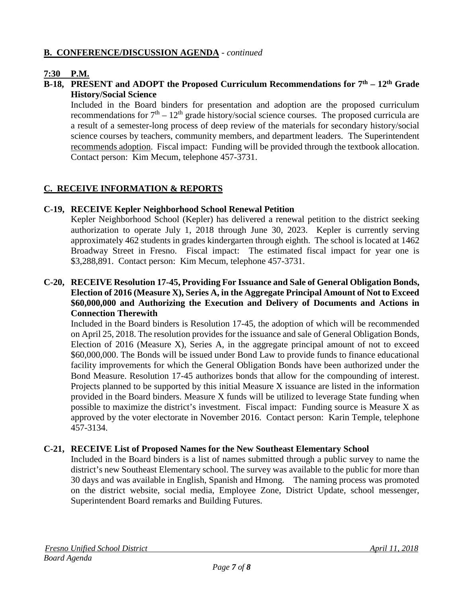## **B. CONFERENCE/DISCUSSION AGENDA** - *continued*

# **7:30 P.M.**

#### **B-18, PRESENT and ADOPT the Proposed Curriculum Recommendations for 7th – 12th Grade History/Social Science**

Included in the Board binders for presentation and adoption are the proposed curriculum recommendations for  $7<sup>th</sup> - 12<sup>th</sup>$  grade history/social science courses. The proposed curricula are a result of a semester-long process of deep review of the materials for secondary history/social science courses by teachers, community members, and department leaders. The Superintendent recommends adoption. Fiscal impact: Funding will be provided through the textbook allocation. Contact person: Kim Mecum, telephone 457-3731.

## **C. RECEIVE INFORMATION & REPORTS**

## **C-19, RECEIVE Kepler Neighborhood School Renewal Petition**

Kepler Neighborhood School (Kepler) has delivered a renewal petition to the district seeking authorization to operate July 1, 2018 through June 30, 2023. Kepler is currently serving approximately 462 students in grades kindergarten through eighth. The school is located at 1462 Broadway Street in Fresno. Fiscal impact: The estimated fiscal impact for year one is \$3,288,891. Contact person: Kim Mecum, telephone 457-3731.

#### **C-20, RECEIVE Resolution 17-45, Providing For Issuance and Sale of General Obligation Bonds, Election of 2016 (Measure X), Series A, in the Aggregate Principal Amount of Not to Exceed \$60,000,000 and Authorizing the Execution and Delivery of Documents and Actions in Connection Therewith**

Included in the Board binders is Resolution 17-45, the adoption of which will be recommended on April 25, 2018. The resolution provides for the issuance and sale of General Obligation Bonds, Election of 2016 (Measure X), Series A, in the aggregate principal amount of not to exceed \$60,000,000. The Bonds will be issued under Bond Law to provide funds to finance educational facility improvements for which the General Obligation Bonds have been authorized under the Bond Measure. Resolution 17-45 authorizes bonds that allow for the compounding of interest. Projects planned to be supported by this initial Measure X issuance are listed in the information provided in the Board binders. Measure X funds will be utilized to leverage State funding when possible to maximize the district's investment. Fiscal impact: Funding source is Measure X as approved by the voter electorate in November 2016. Contact person: Karin Temple, telephone 457-3134.

## **C-21, RECEIVE List of Proposed Names for the New Southeast Elementary School**

Included in the Board binders is a list of names submitted through a public survey to name the district's new Southeast Elementary school. The survey was available to the public for more than 30 days and was available in English, Spanish and Hmong. The naming process was promoted on the district website, social media, Employee Zone, District Update, school messenger, Superintendent Board remarks and Building Futures.